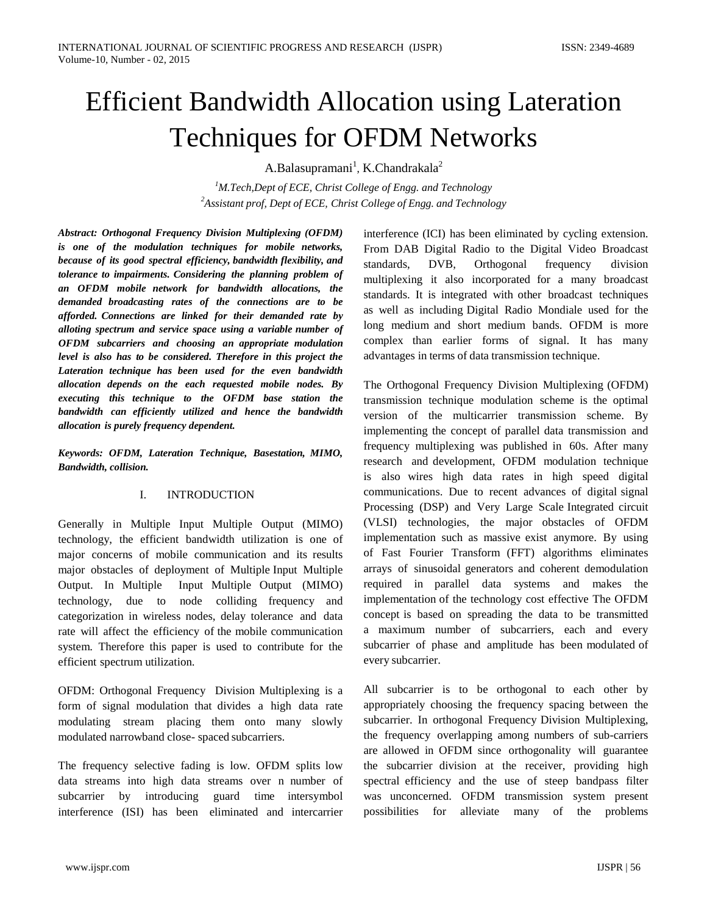# Efficient Bandwidth Allocation using Lateration Techniques for OFDM Networks

A.Balasupramani<sup>1</sup>, K.Chandrakala<sup>2</sup>

*1 M.Tech,Dept of ECE, Christ College of Engg. and Technology 2 Assistant prof, Dept of ECE, Christ College of Engg. and Technology*

*Abstract: Orthogonal Frequency Division Multiplexing (OFDM) is one of the modulation techniques for mobile networks, because of its good spectral efficiency, bandwidth flexibility, and tolerance to impairments. Considering the planning problem of an OFDM mobile network for bandwidth allocations, the demanded broadcasting rates of the connections are to be afforded. Connections are linked for their demanded rate by alloting spectrum and service space using a variable number of OFDM subcarriers and choosing an appropriate modulation level is also has to be considered. Therefore in this project the Lateration technique has been used for the even bandwidth allocation depends on the each requested mobile nodes. By executing this technique to the OFDM base station the bandwidth can efficiently utilized and hence the bandwidth allocation is purely frequency dependent.*

*Keywords: OFDM, Lateration Technique, Basestation, MIMO, Bandwidth, collision.*

## I. INTRODUCTION

Generally in Multiple Input Multiple Output (MIMO) technology, the efficient bandwidth utilization is one of major concerns of mobile communication and its results major obstacles of deployment of Multiple Input Multiple Output. In Multiple Input Multiple Output (MIMO) technology, due to node colliding frequency and categorization in wireless nodes, delay tolerance and data rate will affect the efficiency of the mobile communication system. Therefore this paper is used to contribute for the efficient spectrum utilization.

OFDM: Orthogonal Frequency Division Multiplexing is a form of signal modulation that divides a high data rate modulating stream placing them onto many slowly modulated narrowband close- spaced subcarriers.

The frequency selective fading is low. OFDM splits low data streams into high data streams over n number of subcarrier by introducing guard time intersymbol interference (ISI) has been eliminated and intercarrier interference (ICI) has been eliminated by cycling extension. From DAB Digital Radio to the Digital Video Broadcast standards, DVB, Orthogonal frequency division multiplexing it also incorporated for a many broadcast standards. It is integrated with other broadcast techniques as well as including Digital Radio Mondiale used for the long medium and short medium bands. OFDM is more complex than earlier forms of signal. It has many advantages in terms of data transmission technique.

The Orthogonal Frequency Division Multiplexing (OFDM) transmission technique modulation scheme is the optimal version of the multicarrier transmission scheme. By implementing the concept of parallel data transmission and frequency multiplexing was published in 60s. After many research and development, OFDM modulation technique is also wires high data rates in high speed digital communications. Due to recent advances of digital signal Processing (DSP) and Very Large Scale Integrated circuit (VLSI) technologies, the major obstacles of OFDM implementation such as massive exist anymore. By using of Fast Fourier Transform (FFT) algorithms eliminates arrays of sinusoidal generators and coherent demodulation required in parallel data systems and makes the implementation of the technology cost effective The OFDM concept is based on spreading the data to be transmitted a maximum number of subcarriers, each and every subcarrier of phase and amplitude has been modulated of every subcarrier.

All subcarrier is to be orthogonal to each other by appropriately choosing the frequency spacing between the subcarrier. In orthogonal Frequency Division Multiplexing, the frequency overlapping among numbers of sub-carriers are allowed in OFDM since orthogonality will guarantee the subcarrier division at the receiver, providing high spectral efficiency and the use of steep bandpass filter was unconcerned. OFDM transmission system present possibilities for alleviate many of the problems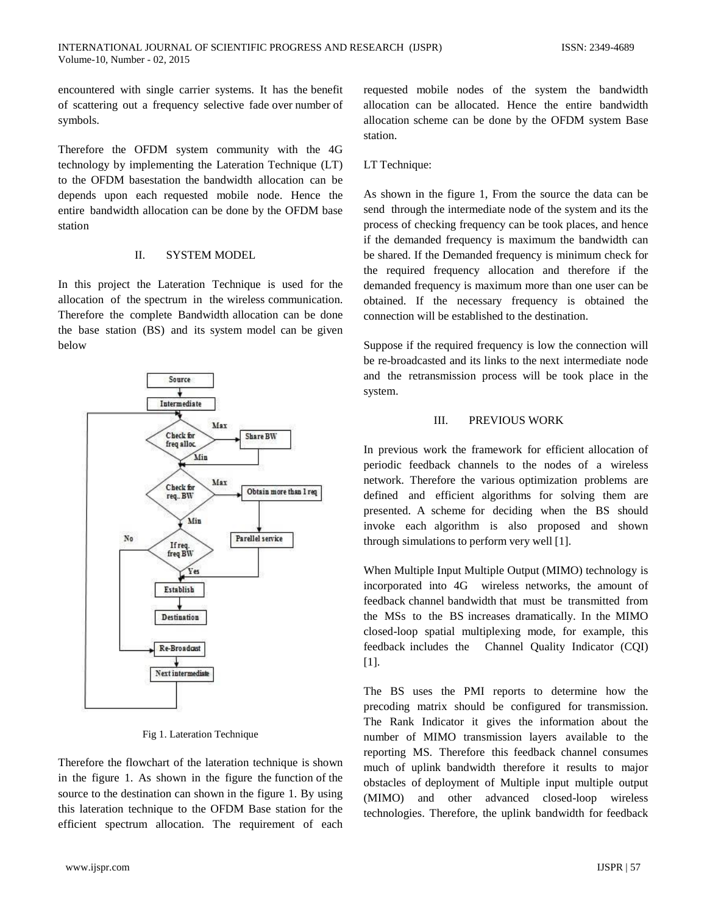encountered with single carrier systems. It has the benefit of scattering out a frequency selective fade over number of symbols.

Therefore the OFDM system community with the 4G technology by implementing the Lateration Technique (LT) to the OFDM basestation the bandwidth allocation can be depends upon each requested mobile node. Hence the entire bandwidth allocation can be done by the OFDM base station

## II. SYSTEM MODEL

In this project the Lateration Technique is used for the allocation of the spectrum in the wireless communication. Therefore the complete Bandwidth allocation can be done the base station (BS) and its system model can be given below



Fig 1. Lateration Technique

Therefore the flowchart of the lateration technique is shown in the figure 1. As shown in the figure the function of the source to the destination can shown in the figure 1. By using this lateration technique to the OFDM Base station for the efficient spectrum allocation. The requirement of each

requested mobile nodes of the system the bandwidth allocation can be allocated. Hence the entire bandwidth allocation scheme can be done by the OFDM system Base station.

## LT Technique:

As shown in the figure 1, From the source the data can be send through the intermediate node of the system and its the process of checking frequency can be took places, and hence if the demanded frequency is maximum the bandwidth can be shared. If the Demanded frequency is minimum check for the required frequency allocation and therefore if the demanded frequency is maximum more than one user can be obtained. If the necessary frequency is obtained the connection will be established to the destination.

Suppose if the required frequency is low the connection will be re-broadcasted and its links to the next intermediate node and the retransmission process will be took place in the system.

#### III. PREVIOUS WORK

In previous work the framework for efficient allocation of periodic feedback channels to the nodes of a wireless network. Therefore the various optimization problems are defined and efficient algorithms for solving them are presented. A scheme for deciding when the BS should invoke each algorithm is also proposed and shown through simulations to perform very well [1].

When Multiple Input Multiple Output (MIMO) technology is incorporated into 4G wireless networks, the amount of feedback channel bandwidth that must be transmitted from the MSs to the BS increases dramatically. In the MIMO closed-loop spatial multiplexing mode, for example, this feedback includes the Channel Quality Indicator (CQI) [1].

The BS uses the PMI reports to determine how the precoding matrix should be configured for transmission. The Rank Indicator it gives the information about the number of MIMO transmission layers available to the reporting MS. Therefore this feedback channel consumes much of uplink bandwidth therefore it results to major obstacles of deployment of Multiple input multiple output (MIMO) and other advanced closed-loop wireless technologies. Therefore, the uplink bandwidth for feedback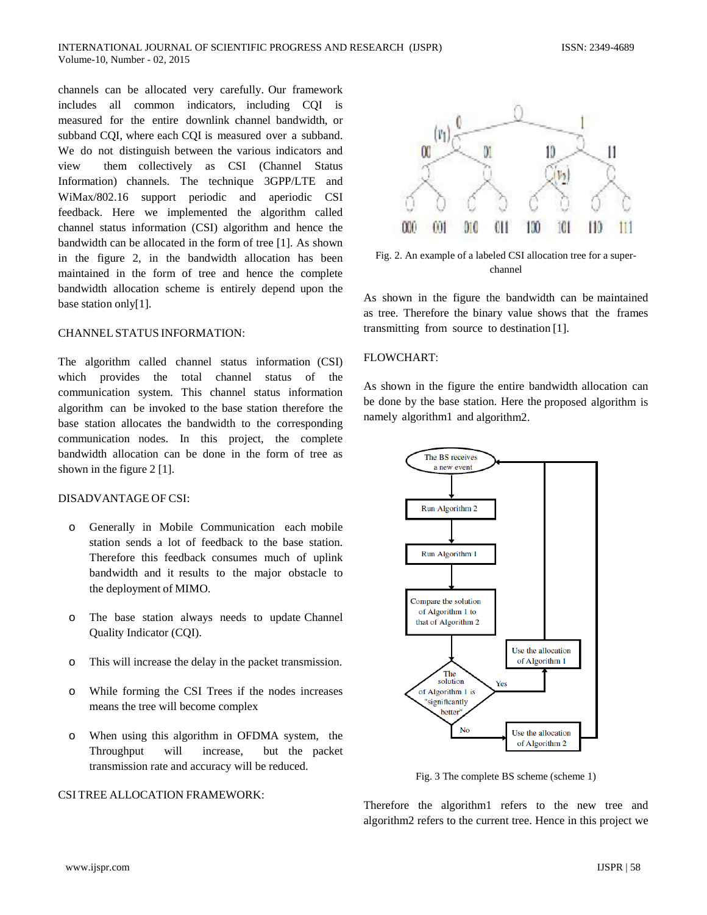channels can be allocated very carefully. Our framework includes all common indicators, including CQI is measured for the entire downlink channel bandwidth, or subband CQI, where each CQI is measured over a subband. We do not distinguish between the various indicators and view them collectively as CSI (Channel Status Information) channels. The technique 3GPP/LTE and WiMax/802.16 support periodic and aperiodic CSI feedback. Here we implemented the algorithm called channel status information (CSI) algorithm and hence the bandwidth can be allocated in the form of tree [1]. As shown in the figure 2, in the bandwidth allocation has been maintained in the form of tree and hence the complete bandwidth allocation scheme is entirely depend upon the base station only[1].

#### CHANNEL STATUS INFORMATION:

The algorithm called channel status information (CSI) which provides the total channel status of the communication system. This channel status information algorithm can be invoked to the base station therefore the base station allocates the bandwidth to the corresponding communication nodes. In this project, the complete bandwidth allocation can be done in the form of tree as shown in the figure 2 [1].

#### DISADVANTAGE OF CSI:

- o Generally in Mobile Communication each mobile station sends a lot of feedback to the base station. Therefore this feedback consumes much of uplink bandwidth and it results to the major obstacle to the deployment of MIMO.
- o The base station always needs to update Channel Quality Indicator (CQI).
- o This will increase the delay in the packet transmission.
- o While forming the CSI Trees if the nodes increases means the tree will become complex
- o When using this algorithm in OFDMA system, the Throughput will increase, but the packet transmission rate and accuracy will be reduced.

#### CSI TREE ALLOCATION FRAMEWORK:



Fig. 2. An example of a labeled CSI allocation tree for a superchannel

As shown in the figure the bandwidth can be maintained as tree. Therefore the binary value shows that the frames transmitting from source to destination [1].

#### FLOWCHART:

As shown in the figure the entire bandwidth allocation can be done by the base station. Here the proposed algorithm is namely algorithm1 and algorithm2.



Fig. 3 The complete BS scheme (scheme 1)

Therefore the algorithm1 refers to the new tree and algorithm2 refers to the current tree. Hence in this project we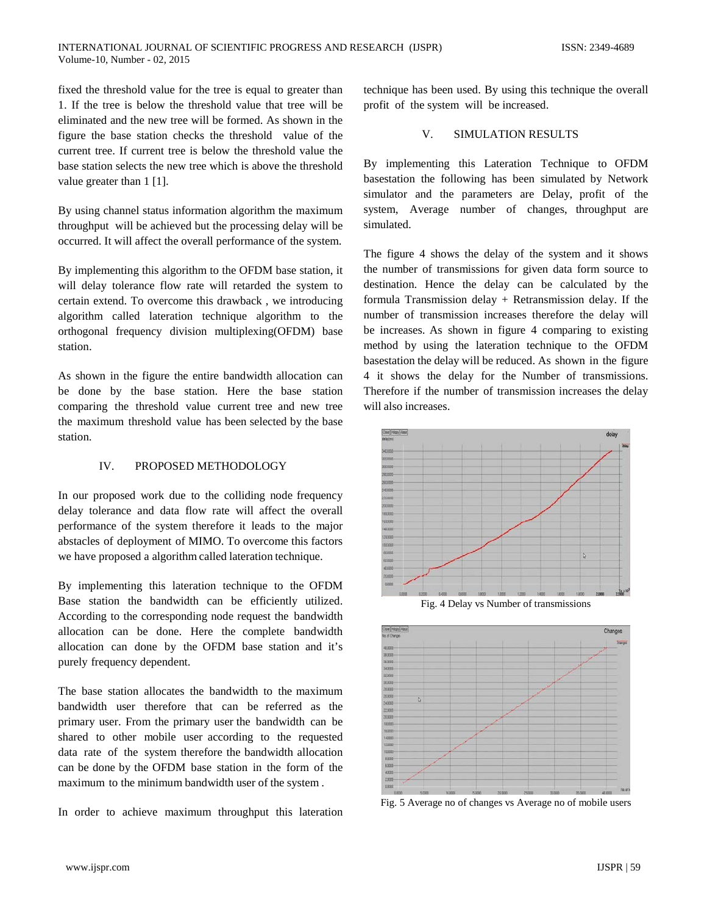fixed the threshold value for the tree is equal to greater than 1. If the tree is below the threshold value that tree will be eliminated and the new tree will be formed. As shown in the figure the base station checks the threshold value of the current tree. If current tree is below the threshold value the base station selects the new tree which is above the threshold value greater than 1 [1].

By using channel status information algorithm the maximum throughput will be achieved but the processing delay will be occurred. It will affect the overall performance of the system.

By implementing this algorithm to the OFDM base station, it will delay tolerance flow rate will retarded the system to certain extend. To overcome this drawback , we introducing algorithm called lateration technique algorithm to the orthogonal frequency division multiplexing(OFDM) base station.

As shown in the figure the entire bandwidth allocation can be done by the base station. Here the base station comparing the threshold value current tree and new tree the maximum threshold value has been selected by the base station.

## IV. PROPOSED METHODOLOGY

In our proposed work due to the colliding node frequency delay tolerance and data flow rate will affect the overall performance of the system therefore it leads to the major abstacles of deployment of MIMO. To overcome this factors we have proposed a algorithm called lateration technique.

By implementing this lateration technique to the OFDM Base station the bandwidth can be efficiently utilized. According to the corresponding node request the bandwidth allocation can be done. Here the complete bandwidth allocation can done by the OFDM base station and it's purely frequency dependent.

The base station allocates the bandwidth to the maximum bandwidth user therefore that can be referred as the primary user. From the primary user the bandwidth can be shared to other mobile user according to the requested data rate of the system therefore the bandwidth allocation can be done by the OFDM base station in the form of the maximum to the minimum bandwidth user of the system .

In order to achieve maximum throughput this lateration

technique has been used. By using this technique the overall profit of the system will be increased.

# V. SIMULATION RESULTS

By implementing this Lateration Technique to OFDM basestation the following has been simulated by Network simulator and the parameters are Delay, profit of the system, Average number of changes, throughput are simulated.

The figure 4 shows the delay of the system and it shows the number of transmissions for given data form source to destination. Hence the delay can be calculated by the formula Transmission delay + Retransmission delay. If the number of transmission increases therefore the delay will be increases. As shown in figure 4 comparing to existing method by using the lateration technique to the OFDM basestation the delay will be reduced. As shown in the figure 4 it shows the delay for the Number of transmissions. Therefore if the number of transmission increases the delay will also increases.



Fig. 4 Delay vs Number of transmissions



Fig. 5 Average no of changes vs Average no of mobile users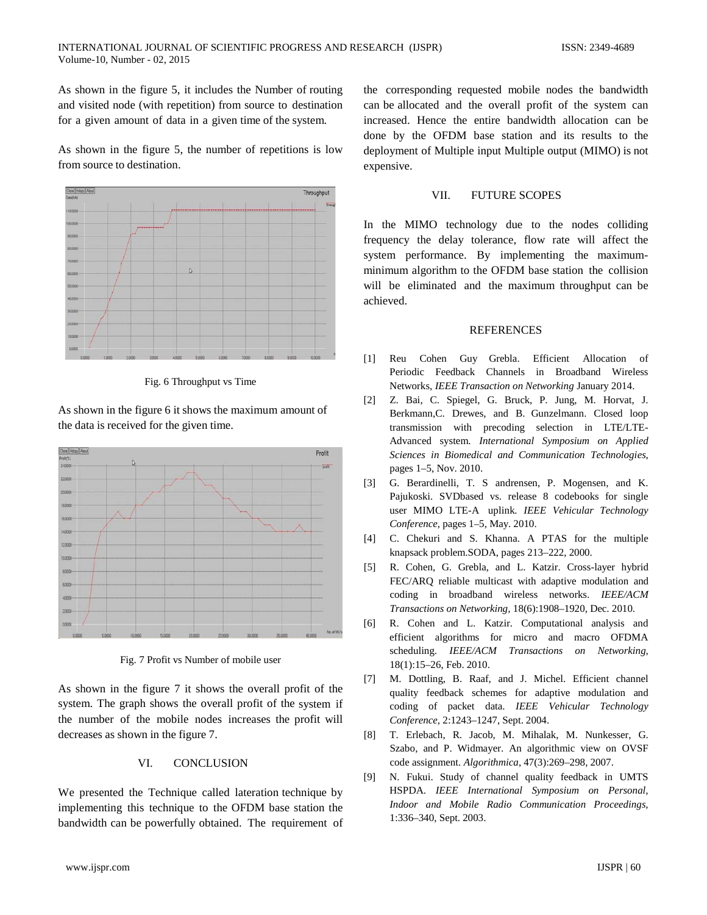As shown in the figure 5, it includes the Number of routing and visited node (with repetition) from source to destination for a given amount of data in a given time of the system.

As shown in the figure 5, the number of repetitions is low from source to destination.



Fig. 6 Throughput vs Time

As shown in the figure 6 it shows the maximum amount of the data is received for the given time.



Fig. 7 Profit vs Number of mobile user

As shown in the figure 7 it shows the overall profit of the system. The graph shows the overall profit of the system if the number of the mobile nodes increases the profit will decreases as shown in the figure 7.

## VI. CONCLUSION

We presented the Technique called lateration technique by implementing this technique to the OFDM base station the bandwidth can be powerfully obtained. The requirement of the corresponding requested mobile nodes the bandwidth can be allocated and the overall profit of the system can increased. Hence the entire bandwidth allocation can be done by the OFDM base station and its results to the deployment of Multiple input Multiple output (MIMO) is not expensive.

#### VII. FUTURE SCOPES

In the MIMO technology due to the nodes colliding frequency the delay tolerance, flow rate will affect the system performance. By implementing the maximumminimum algorithm to the OFDM base station the collision will be eliminated and the maximum throughput can be achieved.

#### **REFERENCES**

- [1] Reu Cohen Guy Grebla. Efficient Allocation of Periodic Feedback Channels in Broadband Wireless Networks, *IEEE Transaction on Networking* January 2014.
- [2] Z. Bai, C. Spiegel, G. Bruck, P. Jung, M. Horvat, J. Berkmann,C. Drewes, and B. Gunzelmann. Closed loop transmission with precoding selection in LTE/LTE-Advanced system. *International Symposium on Applied Sciences in Biomedical and Communication Technologies*, pages 1–5, Nov. 2010.
- [3] G. Berardinelli, T. S andrensen, P. Mogensen, and K. Pajukoski. SVDbased vs. release 8 codebooks for single user MIMO LTE-A uplink. *IEEE Vehicular Technology Conference*, pages 1–5, May. 2010.
- [4] C. Chekuri and S. Khanna. A PTAS for the multiple knapsack problem.SODA, pages 213–222, 2000.
- [5] R. Cohen, G. Grebla, and L. Katzir. Cross-layer hybrid FEC/ARQ reliable multicast with adaptive modulation and coding in broadband wireless networks. *IEEE/ACM Transactions on Networking,* 18(6):1908–1920, Dec. 2010.
- [6] R. Cohen and L. Katzir. Computational analysis and efficient algorithms for micro and macro OFDMA scheduling. *IEEE/ACM Transactions on Networking,*  18(1):15–26, Feb. 2010.
- [7] M. Dottling, B. Raaf, and J. Michel. Efficient channel quality feedback schemes for adaptive modulation and coding of packet data. *IEEE Vehicular Technology Conference,* 2:1243–1247, Sept. 2004.
- [8] T. Erlebach, R. Jacob, M. Mihalak, M. Nunkesser, G. Szabo, and P. Widmayer. An algorithmic view on OVSF code assignment. *Algorithmica*, 47(3):269–298, 2007.
- [9] N. Fukui. Study of channel quality feedback in UMTS HSPDA. *IEEE International Symposium on Personal, Indoor and Mobile Radio Communication Proceedings,*  1:336–340, Sept. 2003.